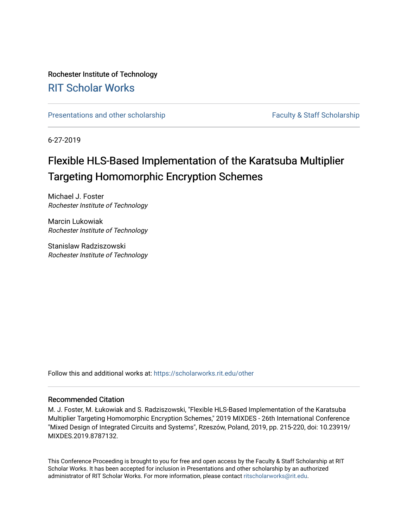## Rochester Institute of Technology [RIT Scholar Works](https://scholarworks.rit.edu/)

[Presentations and other scholarship](https://scholarworks.rit.edu/other) Faculty & Staff Scholarship

6-27-2019

# Flexible HLS-Based Implementation of the Karatsuba Multiplier Targeting Homomorphic Encryption Schemes

Michael J. Foster Rochester Institute of Technology

Marcin Lukowiak Rochester Institute of Technology

Stanislaw Radziszowski Rochester Institute of Technology

Follow this and additional works at: [https://scholarworks.rit.edu/other](https://scholarworks.rit.edu/other?utm_source=scholarworks.rit.edu%2Fother%2F974&utm_medium=PDF&utm_campaign=PDFCoverPages) 

## Recommended Citation

M. J. Foster, M. Łukowiak and S. Radziszowski, "Flexible HLS-Based Implementation of the Karatsuba Multiplier Targeting Homomorphic Encryption Schemes," 2019 MIXDES - 26th International Conference "Mixed Design of Integrated Circuits and Systems", Rzeszów, Poland, 2019, pp. 215-220, doi: 10.23919/ MIXDES.2019.8787132.

This Conference Proceeding is brought to you for free and open access by the Faculty & Staff Scholarship at RIT Scholar Works. It has been accepted for inclusion in Presentations and other scholarship by an authorized administrator of RIT Scholar Works. For more information, please contact [ritscholarworks@rit.edu](mailto:ritscholarworks@rit.edu).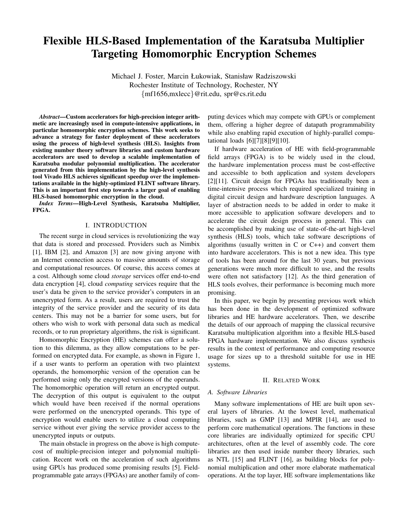## Flexible HLS-Based Implementation of the Karatsuba Multiplier Targeting Homomorphic Encryption Schemes

Michael J. Foster, Marcin Łukowiak, Stanisław Radziszowski Rochester Institute of Technology, Rochester, NY {mf1656,mxlecc}@rit.edu, spr@cs.rit.edu

*Abstract*—Custom accelerators for high-precision integer arithmetic are increasingly used in compute-intensive applications, in particular homomorphic encryption schemes. This work seeks to advance a strategy for faster deployment of these accelerators using the process of high-level synthesis (HLS). Insights from existing number theory software libraries and custom hardware accelerators are used to develop a scalable implementation of Karatsuba modular polynomial multiplication. The accelerator generated from this implementation by the high-level synthesis tool Vivado HLS achieves significant speedup over the implementations available in the highly-optimized FLINT software library. This is an important first step towards a larger goal of enabling HLS-based homomorphic encryption in the cloud.

*Index Terms*—High-Level Synthesis, Karatsuba Multiplier, FPGA.

### I. INTRODUCTION

The recent surge in cloud services is revolutionizing the way that data is stored and processed. Providers such as Nimbix [1], IBM [2], and Amazon [3] are now giving anyone with an Internet connection access to massive amounts of storage and computational resources. Of course, this access comes at a cost. Although some cloud *storage* services offer end-to-end data encryption [4], cloud *computing* services require that the user's data be given to the service provider's computers in an unencrypted form. As a result, users are required to trust the integrity of the service provider and the security of its data centers. This may not be a barrier for some users, but for others who wish to work with personal data such as medical records, or to run proprietary algorithms, the risk is significant.

Homomorphic Encryption (HE) schemes can offer a solution to this dilemma, as they allow computations to be performed on encrypted data. For example, as shown in Figure 1, if a user wants to perform an operation with two plaintext operands, the homomorphic version of the operation can be performed using only the encrypted versions of the operands. The homomorphic operation will return an encrypted output. The decryption of this output is equivalent to the output which would have been received if the normal operations were performed on the unencrypted operands. This type of encryption would enable users to utilize a cloud computing service without ever giving the service provider access to the unencrypted inputs or outputs.

The main obstacle in progress on the above is high computecost of multiple-precision integer and polynomial multiplication. Recent work on the acceleration of such algorithms using GPUs has produced some promising results [5]. Fieldprogrammable gate arrays (FPGAs) are another family of computing devices which may compete with GPUs or complement them, offering a higher degree of datapath programmability while also enabling rapid execution of highly-parallel computational loads [6][7][8][9][10].

If hardware acceleration of HE with field-programmable field arrays (FPGA) is to be widely used in the cloud, the hardware implementation process must be cost-effective and accessible to both application and system developers [2][11]. Circuit design for FPGAs has traditionally been a time-intensive process which required specialized training in digital circuit design and hardware description languages. A layer of abstraction needs to be added in order to make it more accessible to application software developers and to accelerate the circuit design process in general. This can be accomplished by making use of state-of-the-art high-level synthesis (HLS) tools, which take software descriptions of algorithms (usually written in  $C$  or  $C++$ ) and convert them into hardware accelerators. This is not a new idea. This type of tools has been around for the last 30 years, but previous generations were much more difficult to use, and the results were often not satisfactory [12]. As the third generation of HLS tools evolves, their performance is becoming much more promising.

In this paper, we begin by presenting previous work which has been done in the development of optimized software libraries and HE hardware accelerators. Then, we describe the details of our approach of mapping the classical recursive Karatsuba multiplication algorithm into a flexible HLS-based FPGA hardware implementation. We also discuss synthesis results in the context of performance and computing resource usage for sizes up to a threshold suitable for use in HE systems.

#### II. RELATED WORK

## *A. Software Libraries*

Many software implementations of HE are built upon several layers of libraries. At the lowest level, mathematical libraries, such as GMP [13] and MPIR [14], are used to perform core mathematical operations. The functions in these core libraries are individually optimized for specific CPU architectures, often at the level of assembly code. The core libraries are then used inside number theory libraries, such as NTL [15] and FLINT [16], as building blocks for polynomial multiplication and other more elaborate mathematical operations. At the top layer, HE software implementations like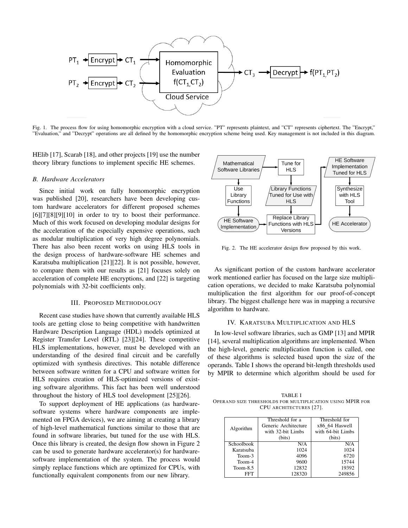

Fig. 1. The process flow for using homomorphic encryption with a cloud service. "PT" represents plaintext, and "CT" represents ciphertext. The "Encrypt," "Evaluation," and "Decrypt" operations are all defined by the homomorphic encryption scheme being used. Key management is not included in this diagram.

HElib [17], Scarab [18], and other projects [19] use the number theory library functions to implement specific HE schemes.

### *B. Hardware Accelerators*

Since initial work on fully homomorphic encryption was published [20], researchers have been developing custom hardware accelerators for different proposed schemes [6][7][8][9][10] in order to try to boost their performance. Much of this work focused on developing modular designs for the acceleration of the especially expensive operations, such as modular multiplication of very high degree polynomials. There has also been recent works on using HLS tools in the design process of hardware-software HE schemes and Karatsuba multiplication [21][22]. It is not possible, however, to compare them with our results as [21] focuses solely on acceleration of complete HE encryptions, and [22] is targeting polynomials with 32-bit coefficients only.

#### III. PROPOSED METHODOLOGY

Recent case studies have shown that currently available HLS tools are getting close to being competitive with handwritten Hardware Description Language (HDL) models optimized at Register Transfer Level (RTL) [23][24]. These competitive HLS implementations, however, must be developed with an understanding of the desired final circuit and be carefully optimized with synthesis directives. This notable difference between software written for a CPU and software written for HLS requires creation of HLS-optimized versions of existing software algorithms. This fact has been well understood throughout the history of HLS tool development [25][26].

To support deployment of HE applications (as hardwaresoftware systems where hardware components are implemented on FPGA devices), we are aiming at creating a library of high-level mathematical functions similar to those that are found in software libraries, but tuned for the use with HLS. Once this library is created, the design flow shown in Figure 2 can be used to generate hardware accelerator(s) for hardwaresoftware implementation of the system. The process would simply replace functions which are optimized for CPUs, with functionally equivalent components from our new library.



Fig. 2. The HE accelerator design flow proposed by this work.

As significant portion of the custom hardware accelerator work mentioned earlier has focused on the large size multiplication operations, we decided to make Karatsuba polynomial multiplication the first algorithm for our proof-of-concept library. The biggest challenge here was in mapping a recursive algorithm to hardware.

## IV. KARATSUBA MULTIPLICATION AND HLS

In low-level software libraries, such as GMP [13] and MPIR [14], several multiplication algorithms are implemented. When the high-level, generic multiplication function is called, one of these algorithms is selected based upon the size of the operands. Table I shows the operand bit-length thresholds used by MPIR to determine which algorithm should be used for

TABLE I OPERAND SIZE THRESHOLDS FOR MULTIPLICATION USING MPIR FOR CPU ARCHITECTURES [27].

|            | Threshold for a      | Threshold for     |  |
|------------|----------------------|-------------------|--|
| Algorithm  | Generic Architecture | x86 64 Haswell    |  |
|            | with 32-bit Limbs    | with 64-bit Limbs |  |
|            | (bits)               | (bits)            |  |
| Schoolbook | N/A                  | N/A               |  |
| Karatsuba  | 1024                 | 1024              |  |
| Toom-3     | 4096                 | 6720              |  |
| Toom-4     | 9600                 | 15744             |  |
| $Toom-8.5$ | 12832                | 19392             |  |
| FFT        | 128320               | 249856            |  |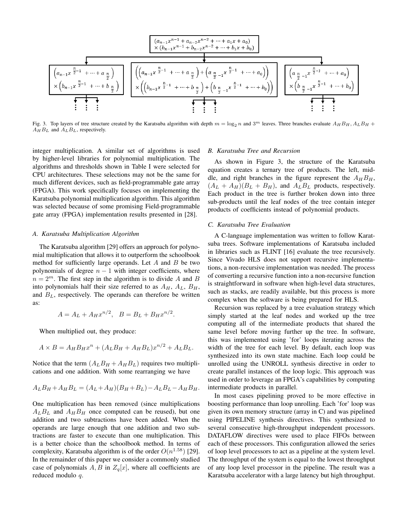

Fig. 3. Top layers of tree structure created by the Karatsuba algorithm with depth  $m = \log_2 n$  and  $3^m$  leaves. Three branches evaluate  $A_H B_H$ ,  $A_L B_H$  +  $A_H B_L$  and  $A_L B_L$ , respectively.

integer multiplication. A similar set of algorithms is used by higher-level libraries for polynomial multiplication. The algorithms and thresholds shown in Table I were selected for CPU architectures. These selections may not be the same for much different devices, such as field-programmable gate array (FPGA). This work specifically focuses on implementing the Karatsuba polynomial multiplication algorithm. This algorithm was selected because of some promising Field-programmable gate array (FPGA) implementation results presented in [28].

### *A. Karatsuba Multiplication Algorithm*

The Karatsuba algorithm [29] offers an approach for polynomial multiplication that allows it to outperform the schoolbook method for sufficiently large operands. Let  $A$  and  $B$  be two polynomials of degree  $n - 1$  with integer coefficients, where  $n = 2^m$ . The first step in the algorithm is to divide A and B into polynomials half their size referred to as  $A_H$ ,  $A_L$ ,  $B_H$ , and  $B_L$ , respectively. The operands can therefore be written as:

$$
A = A_L + A_H x^{n/2}, \quad B = B_L + B_H x^{n/2}.
$$

When multiplied out, they produce:

$$
A \times B = A_H B_H x^n + (A_L B_H + A_H B_L) x^{n/2} + A_L B_L.
$$

Notice that the term  $(A_L B_H + A_H B_L)$  requires two multiplications and one addition. With some rearranging we have

$$
A_L B_H + A_H B_L = (A_L + A_H)(B_H + B_L) - A_L B_L - A_H B_H.
$$

One multiplication has been removed (since multiplications  $A_L B_L$  and  $A_H B_H$  once computed can be reused), but one addition and two subtractions have been added. When the operands are large enough that one addition and two subtractions are faster to execute than one multiplication. This is a better choice than the schoolbook method. In terms of complexity, Karatsuba algorithm is of the order  $O(n^{1.58})$  [29]. In the remainder of this paper we consider a commonly studied case of polynomials  $A, B$  in  $Z_q[x]$ , where all coefficients are reduced modulo q.

#### *B. Karatsuba Tree and Recursion*

As shown in Figure 3, the structure of the Karatsuba equation creates a ternary tree of products. The left, middle, and right branches in the figure represent the  $A_H B_H$ ,  $(A_L + A_H)(B_L + B_H)$ , and  $A_L B_L$  products, respectively. Each product in the tree is further broken down into three sub-products until the leaf nodes of the tree contain integer products of coefficients instead of polynomial products.

#### *C. Karatsuba Tree Evaluation*

A C-language implementation was written to follow Karatsuba trees. Software implementations of Karatsuba included in libraries such as FLINT [16] evaluate the tree recursively. Since Vivado HLS does not support recursive implementations, a non-recursive implementation was needed. The process of converting a recursive function into a non-recursive function is straightforward in software when high-level data structures, such as stacks, are readily available, but this process is more complex when the software is being prepared for HLS.

Recursion was replaced by a tree evaluation strategy which simply started at the leaf nodes and worked up the tree computing all of the intermediate products that shared the same level before moving further up the tree. In software, this was implemented using 'for' loops iterating across the width of the tree for each level. By default, each loop was synthesized into its own state machine. Each loop could be unrolled using the UNROLL synthesis directive in order to create parallel instances of the loop logic. This approach was used in order to leverage an FPGA's capabilities by computing intermediate products in parallel.

In most cases pipelining proved to be more effective in boosting performance than loop unrolling. Each 'for' loop was given its own memory structure (array in C) and was pipelined using PIPELINE synthesis directives. This synthesized to several consecutive high-throughput independent processors. DATAFLOW directives were used to place FIFOs between each of these processors. This configuration allowed the series of loop level processors to act as a pipeline at the system level. The throughput of the system is equal to the lowest throughput of any loop level processor in the pipeline. The result was a Karatsuba accelerator with a large latency but high throughput.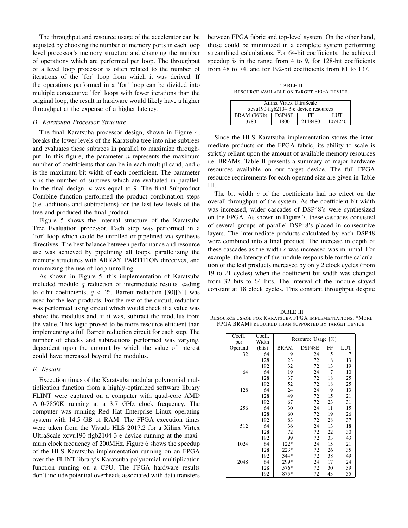The throughput and resource usage of the accelerator can be adjusted by choosing the number of memory ports in each loop level processor's memory structure and changing the number of operations which are performed per loop. The throughput of a level loop processor is often related to the number of iterations of the 'for' loop from which it was derived. If the operations performed in a 'for' loop can be divided into multiple consecutive 'for' loops with fewer iterations than the original loop, the result in hardware would likely have a higher throughput at the expense of a higher latency.

#### *D. Karatsuba Processor Structure*

The final Karatsuba processor design, shown in Figure 4, breaks the lower levels of the Karatsuba tree into nine subtrees and evaluates these subtrees in parallel to maximize throughput. In this figure, the parameter  $n$  represents the maximum number of coefficients that can be in each multiplicand, and  $c$ is the maximum bit width of each coefficient. The parameter  $k$  is the number of subtrees which are evaluated in parallel. In the final design,  $k$  was equal to 9. The final Subproduct Combine function performed the product combination steps (i.e. additions and subtractions) for the last few levels of the tree and produced the final product.

Figure 5 shows the internal structure of the Karatsuba Tree Evaluation processor. Each step was performed in a 'for' loop which could be unrolled or pipelined via synthesis directives. The best balance between performance and resource use was achieved by pipelining all loops, parallelizing the memory structures with ARRAY\_PARTITION directives, and minimizing the use of loop unrolling.

As shown in Figure 5, this implementation of Karatsuba included modulo  $q$  reduction of intermediate results leading to c-bit coefficients,  $q < 2<sup>c</sup>$ . Barrett reduction [30][31] was used for the leaf products. For the rest of the circuit, reduction was performed using circuit which would check if a value was above the modulus and, if it was, subtract the modulus from the value. This logic proved to be more resource efficient than implementing a full Barrett reduction circuit for each step. The number of checks and subtractions performed was varying, dependent upon the amount by which the value of interest could have increased beyond the modulus.

## *E. Results*

Execution times of the Karatsuba modular polynomial multiplication function from a highly-optimized software library FLINT were captured on a computer with quad-core AMD A10-7850K running at a 3.7 GHz clock frequency. The computer was running Red Hat Enterprise Linux operating system with 14.5 GB of RAM. The FPGA execution times were taken from the Vivado HLS 2017.2 for a Xilinx Virtex UltraScale xcvu190-flgb2104-3-e device running at the maximum clock frequency of 200MHz. Figure 6 shows the speedup of the HLS Karatsuba implementation running on an FPGA over the FLINT library's Karatsuba polynomial multiplication function running on a CPU. The FPGA hardware results don't include potential overheads associated with data transfers between FPGA fabric and top-level system. On the other hand, those could be minimized in a complete system performing streamlined calculations. For 64-bit coefficients, the achieved speedup is in the range from 4 to 9, for 128-bit coefficients from 48 to 74, and for 192-bit coefficients from 81 to 137.

TABLE II RESOURCE AVAILABLE ON TARGET FPGA DEVICE.

| Xilinx Virtex UltraScale              |        |         |         |  |  |  |
|---------------------------------------|--------|---------|---------|--|--|--|
| xcvu190-flgb2104-3-e device resources |        |         |         |  |  |  |
| BRAM (36Kb)                           | DSP48E | FF      | LUT     |  |  |  |
| 3780                                  | 1800   | 2148480 | 1074240 |  |  |  |

Since the HLS Karatsuba implementation stores the intermediate products on the FPGA fabric, its ability to scale is strictly reliant upon the amount of available memory resources i.e. BRAMs. Table II presents a summary of major hardware resources available on our target device. The full FPGA resource requirements for each operand size are given in Table III.

The bit width  $c$  of the coefficients had no effect on the overall throughput of the system. As the coefficient bit width was increased, wider cascades of DSP48's were synthesized on the FPGA. As shown in Figure 7, these cascades consisted of several groups of parallel DSP48's placed in consecutive layers. The intermediate products calculated by each DSP48 were combined into a final product. The increase in depth of these cascades as the width  $c$  was increased was minimal. For example, the latency of the module responsible for the calculation of the leaf products increased by only 2 clock cycles (from 19 to 21 cycles) when the coefficient bit width was changed from 32 bits to 64 bits. The interval of the module stayed constant at 18 clock cycles. This constant throughput despite

TABLE III RESOURCE USAGE FOR KARATSUBA FPGA IMPLEMENTATIONS. \*MORE FPGA BRAMS REQUIRED THAN SUPPORTED BY TARGET DEVICE.

| Coeff.  | Coeff. |                    |        |             |     |
|---------|--------|--------------------|--------|-------------|-----|
| per     | Width  | Resource Usage [%] |        |             |     |
| Operand | (bits) | <b>BRAM</b>        | DSP48E | $_{\rm FF}$ | LUT |
| 32      | 64     | 9                  | 24     | 5           | 7   |
|         | 128    | 23                 | 72     | 8           | 13  |
|         | 192    | 32                 | 72     | 13          | 19  |
| 64      | 64     | 19                 | 24     | 7           | 10  |
|         | 128    | 37                 | 72     | 18          | 25  |
|         | 192    | 52                 | 72     | 18          | 25  |
| 128     | 64     | 24                 | 24     | 9           | 13  |
|         | 128    | 49                 | 72     | 15          | 21  |
|         | 192    | 67                 | 72     | 23          | 31  |
| 256     | 64     | 30                 | 24     | 11          | 15  |
|         | 128    | 60                 | 72     | 19          | 26  |
|         | 192    | 83                 | 72     | 28          | 37  |
| 512     | 64     | 36                 | 24     | 13          | 18  |
|         | 128    | 72                 | 72     | 22          | 30  |
|         | 192    | 99                 | 72     | 33          | 43  |
| 1024    | 64     | $122*$             | 24     | 15          | 21  |
|         | 128    | $223*$             | 72     | 26          | 35  |
|         | 192    | $344*$             | 72     | 38          | 49  |
| 2048    | 64     | 299*               | 24     | 17          | 24  |
|         | 128    | 576*               | 72     | 30          | 39  |
|         | 192    | $875*$             | 72     | 43          | 55  |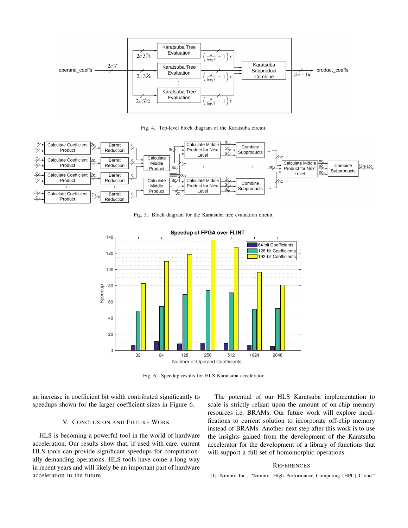

Fig. 4. Top-level block diagram of the Karatsuba circuit.



Fig. 5. Block diagram for the Karatsuba tree evaluation circuit.



Fig. 6. Speedup results for HLS Karatsuba accelerator.

an increase in coefficient bit width contributed significantly to speedups shown for the larger coefficient sizes in Figure 6.

## V. CONCLUSION AND FUTURE WORK

HLS is becoming a powerful tool in the world of hardware acceleration. Our results show that, if used with care, current HLS tools can provide significant speedups for computationally demanding operations. HLS tools have come a long way in recent years and will likely be an important part of hardware acceleration in the future.

The potential of our HLS Karatsuba implementation to scale is strictly reliant upon the amount of on-chip memory resources i.e. BRAMs. Our future work will explore modifications to current solution to incorporate off-chip memory instead of BRAMs. Another next step after this work is to use the insights gained from the development of the Karatsuba accelerator for the development of a library of functions that will support a full set of homomorphic operations.

#### **REFERENCES**

[1] Nimbix Inc., "Nimbix: High Performance Computing (HPC) Cloud."